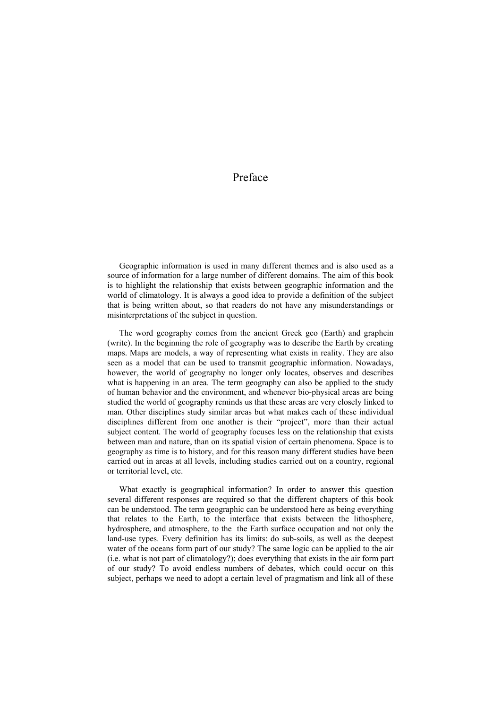## Preface

Geographic information is used in many different themes and is also used as a source of information for a large number of different domains. The aim of this book is to highlight the relationship that exists between geographic information and the world of climatology. It is always a good idea to provide a definition of the subject that is being written about, so that readers do not have any misunderstandings or misinterpretations of the subject in question.

The word geography comes from the ancient Greek geo (Earth) and graphein (write). In the beginning the role of geography was to describe the Earth by creating maps. Maps are models, a way of representing what exists in reality. They are also seen as a model that can be used to transmit geographic information. Nowadays, however, the world of geography no longer only locates, observes and describes what is happening in an area. The term geography can also be applied to the study of human behavior and the environment, and whenever bio-physical areas are being studied the world of geography reminds us that these areas are very closely linked to man. Other disciplines study similar areas but what makes each of these individual disciplines different from one another is their "project", more than their actual subject content. The world of geography focuses less on the relationship that exists between man and nature, than on its spatial vision of certain phenomena. Space is to geography as time is to history, and for this reason many different studies have been carried out in areas at all levels, including studies carried out on a country, regional or territorial level, etc.

What exactly is geographical information? In order to answer this question several different responses are required so that the different chapters of this book can be understood. The term geographic can be understood here as being everything that relates to the Earth, to the interface that exists between the lithosphere, hydrosphere, and atmosphere, to the the Earth surface occupation and not only the land-use types. Every definition has its limits: do sub-soils, as well as the deepest water of the oceans form part of our study? The same logic can be applied to the air (i.e. what is not part of climatology?); does everything that exists in the air form part of our study? To avoid endless numbers of debates, which could occur on this subject, perhaps we need to adopt a certain level of pragmatism and link all of these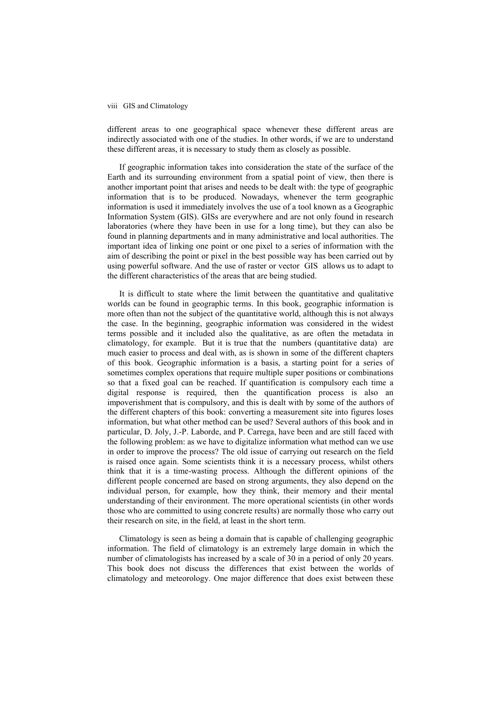## viii GIS and Climatology

different areas to one geographical space whenever these different areas are indirectly associated with one of the studies. In other words, if we are to understand these different areas, it is necessary to study them as closely as possible.

If geographic information takes into consideration the state of the surface of the Earth and its surrounding environment from a spatial point of view, then there is another important point that arises and needs to be dealt with: the type of geographic information that is to be produced. Nowadays, whenever the term geographic information is used it immediately involves the use of a tool known as a Geographic Information System (GIS). GISs are everywhere and are not only found in research laboratories (where they have been in use for a long time), but they can also be found in planning departments and in many administrative and local authorities. The important idea of linking one point or one pixel to a series of information with the aim of describing the point or pixel in the best possible way has been carried out by using powerful software. And the use of raster or vector GIS allows us to adapt to the different characteristics of the areas that are being studied.

It is difficult to state where the limit between the quantitative and qualitative worlds can be found in geographic terms. In this book, geographic information is more often than not the subject of the quantitative world, although this is not always the case. In the beginning, geographic information was considered in the widest terms possible and it included also the qualitative, as are often the metadata in climatology, for example. But it is true that the numbers (quantitative data) are much easier to process and deal with, as is shown in some of the different chapters of this book. Geographic information is a basis, a starting point for a series of sometimes complex operations that require multiple super positions or combinations so that a fixed goal can be reached. If quantification is compulsory each time a digital response is required, then the quantification process is also an impoverishment that is compulsory, and this is dealt with by some of the authors of the different chapters of this book: converting a measurement site into figures loses information, but what other method can be used? Several authors of this book and in particular, D. Joly, J.-P. Laborde, and P. Carrega, have been and are still faced with the following problem: as we have to digitalize information what method can we use in order to improve the process? The old issue of carrying out research on the field is raised once again. Some scientists think it is a necessary process, whilst others think that it is a time-wasting process. Although the different opinions of the different people concerned are based on strong arguments, they also depend on the individual person, for example, how they think, their memory and their mental understanding of their environment. The more operational scientists (in other words those who are committed to using concrete results) are normally those who carry out their research on site, in the field, at least in the short term.

Climatology is seen as being a domain that is capable of challenging geographic information. The field of climatology is an extremely large domain in which the number of climatologists has increased by a scale of 30 in a period of only 20 years. This book does not discuss the differences that exist between the worlds of climatology and meteorology. One major difference that does exist between these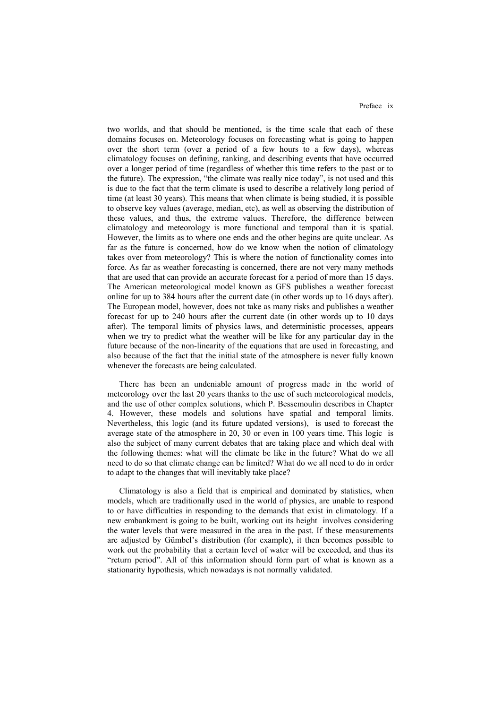Preface ix

two worlds, and that should be mentioned, is the time scale that each of these domains focuses on. Meteorology focuses on forecasting what is going to happen over the short term (over a period of a few hours to a few days), whereas climatology focuses on defining, ranking, and describing events that have occurred over a longer period of time (regardless of whether this time refers to the past or to the future). The expression, "the climate was really nice today", is not used and this is due to the fact that the term climate is used to describe a relatively long period of time (at least 30 years). This means that when climate is being studied, it is possible to observe key values (average, median, etc), as well as observing the distribution of these values, and thus, the extreme values. Therefore, the difference between climatology and meteorology is more functional and temporal than it is spatial. However, the limits as to where one ends and the other begins are quite unclear. As far as the future is concerned, how do we know when the notion of climatology takes over from meteorology? This is where the notion of functionality comes into force. As far as weather forecasting is concerned, there are not very many methods that are used that can provide an accurate forecast for a period of more than 15 days. The American meteorological model known as GFS publishes a weather forecast online for up to 384 hours after the current date (in other words up to 16 days after). The European model, however, does not take as many risks and publishes a weather forecast for up to 240 hours after the current date (in other words up to 10 days after). The temporal limits of physics laws, and deterministic processes, appears when we try to predict what the weather will be like for any particular day in the future because of the non-linearity of the equations that are used in forecasting, and also because of the fact that the initial state of the atmosphere is never fully known whenever the forecasts are being calculated.

There has been an undeniable amount of progress made in the world of meteorology over the last 20 years thanks to the use of such meteorological models, and the use of other complex solutions, which P. Bessemoulin describes in Chapter 4. However, these models and solutions have spatial and temporal limits. Nevertheless, this logic (and its future updated versions), is used to forecast the average state of the atmosphere in 20, 30 or even in 100 years time. This logic is also the subject of many current debates that are taking place and which deal with the following themes: what will the climate be like in the future? What do we all need to do so that climate change can be limited? What do we all need to do in order to adapt to the changes that will inevitably take place?

Climatology is also a field that is empirical and dominated by statistics, when models, which are traditionally used in the world of physics, are unable to respond to or have difficulties in responding to the demands that exist in climatology. If a new embankment is going to be built, working out its height involves considering the water levels that were measured in the area in the past. If these measurements are adjusted by Gümbel's distribution (for example), it then becomes possible to work out the probability that a certain level of water will be exceeded, and thus its "return period". All of this information should form part of what is known as a stationarity hypothesis, which nowadays is not normally validated.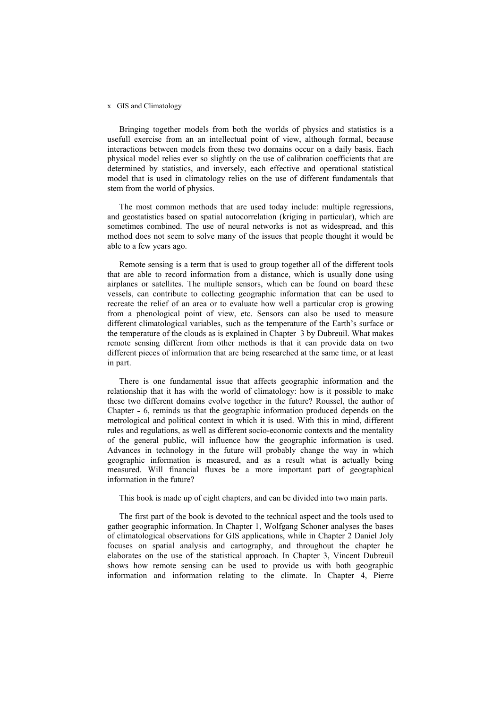## x GIS and Climatology

Bringing together models from both the worlds of physics and statistics is a usefull exercise from an an intellectual point of view, although formal, because interactions between models from these two domains occur on a daily basis. Each physical model relies ever so slightly on the use of calibration coefficients that are determined by statistics, and inversely, each effective and operational statistical model that is used in climatology relies on the use of different fundamentals that stem from the world of physics.

The most common methods that are used today include: multiple regressions, and geostatistics based on spatial autocorrelation (kriging in particular), which are sometimes combined. The use of neural networks is not as widespread, and this method does not seem to solve many of the issues that people thought it would be able to a few years ago.

Remote sensing is a term that is used to group together all of the different tools that are able to record information from a distance, which is usually done using airplanes or satellites. The multiple sensors, which can be found on board these vessels, can contribute to collecting geographic information that can be used to recreate the relief of an area or to evaluate how well a particular crop is growing from a phenological point of view, etc. Sensors can also be used to measure different climatological variables, such as the temperature of the Earth's surface or the temperature of the clouds as is explained in Chapter 3 by Dubreuil. What makes remote sensing different from other methods is that it can provide data on two different pieces of information that are being researched at the same time, or at least in part.

There is one fundamental issue that affects geographic information and the relationship that it has with the world of climatology: how is it possible to make these two different domains evolve together in the future? Roussel, the author of Chapter  $-6$ , reminds us that the geographic information produced depends on the metrological and political context in which it is used. With this in mind, different rules and regulations, as well as different socio-economic contexts and the mentality of the general public, will influence how the geographic information is used. Advances in technology in the future will probably change the way in which geographic information is measured, and as a result what is actually being measured. Will financial fluxes be a more important part of geographical information in the future?

This book is made up of eight chapters, and can be divided into two main parts.

The first part of the book is devoted to the technical aspect and the tools used to gather geographic information. In Chapter 1, Wolfgang Schoner analyses the bases of climatological observations for GIS applications, while in Chapter 2 Daniel Joly focuses on spatial analysis and cartography, and throughout the chapter he elaborates on the use of the statistical approach. In Chapter 3, Vincent Dubreuil shows how remote sensing can be used to provide us with both geographic information and information relating to the climate. In Chapter 4, Pierre